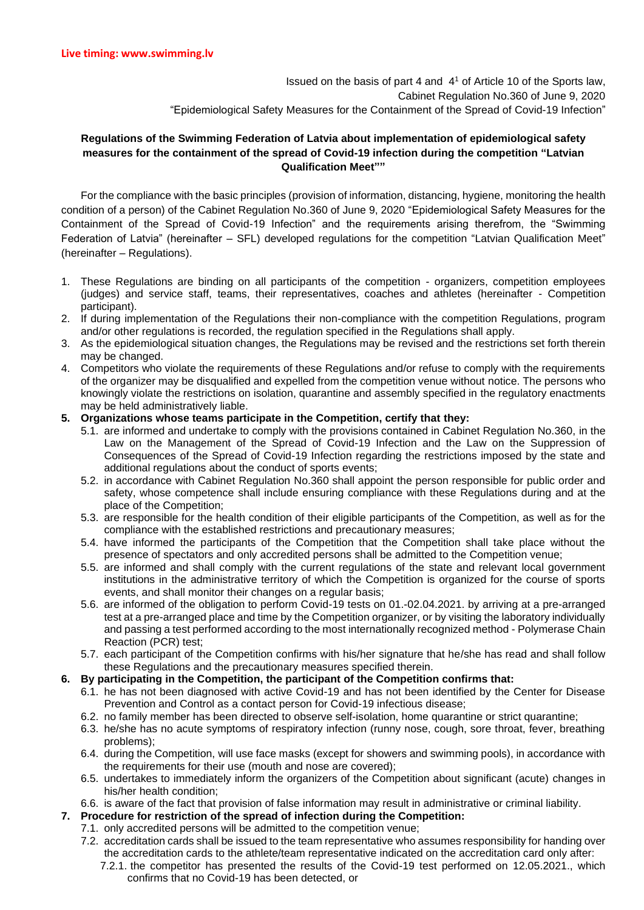Issued on the basis of part 4 and 4<sup>1</sup> of Article 10 of the Sports law, Cabinet Regulation No.360 of June 9, 2020 "Epidemiological Safety Measures for the Containment of the Spread of Covid-19 Infection"

## **Regulations of the Swimming Federation of Latvia about implementation of epidemiological safety measures for the containment of the spread of Covid-19 infection during the competition "Latvian Qualification Meet""**

For the compliance with the basic principles (provision of information, distancing, hygiene, monitoring the health condition of a person) of the Cabinet Regulation No.360 of June 9, 2020 "Epidemiological Safety Measures for the Containment of the Spread of Covid-19 Infection" and the requirements arising therefrom, the "Swimming Federation of Latvia" (hereinafter – SFL) developed regulations for the competition "Latvian Qualification Meet" (hereinafter – Regulations).

- 1. These Regulations are binding on all participants of the competition organizers, competition employees (judges) and service staff, teams, their representatives, coaches and athletes (hereinafter - Competition participant).
- 2. If during implementation of the Regulations their non-compliance with the competition Regulations, program and/or other regulations is recorded, the regulation specified in the Regulations shall apply.
- 3. As the epidemiological situation changes, the Regulations may be revised and the restrictions set forth therein may be changed.
- 4. Competitors who violate the requirements of these Regulations and/or refuse to comply with the requirements of the organizer may be disqualified and expelled from the competition venue without notice. The persons who knowingly violate the restrictions on isolation, quarantine and assembly specified in the regulatory enactments may be held administratively liable.
- **5. Organizations whose teams participate in the Competition, certify that they:**
	- 5.1. are informed and undertake to comply with the provisions contained in Cabinet Regulation No.360, in the Law on the Management of the Spread of Covid-19 Infection and the Law on the Suppression of Consequences of the Spread of Covid-19 Infection regarding the restrictions imposed by the state and additional regulations about the conduct of sports events;
	- 5.2. in accordance with Cabinet Regulation No.360 shall appoint the person responsible for public order and safety, whose competence shall include ensuring compliance with these Regulations during and at the place of the Competition;
	- 5.3. are responsible for the health condition of their eligible participants of the Competition, as well as for the compliance with the established restrictions and precautionary measures;
	- 5.4. have informed the participants of the Competition that the Competition shall take place without the presence of spectators and only accredited persons shall be admitted to the Competition venue;
	- 5.5. are informed and shall comply with the current regulations of the state and relevant local government institutions in the administrative territory of which the Competition is organized for the course of sports events, and shall monitor their changes on a regular basis;
	- 5.6. are informed of the obligation to perform Covid-19 tests on 01.-02.04.2021. by arriving at a pre-arranged test at a pre-arranged place and time by the Competition organizer, or by visiting the laboratory individually and passing a test performed according to the most internationally recognized method - Polymerase Chain Reaction (PCR) test;
	- 5.7. each participant of the Competition confirms with his/her signature that he/she has read and shall follow these Regulations and the precautionary measures specified therein.

## **6. By participating in the Competition, the participant of the Competition confirms that:**

- 6.1. he has not been diagnosed with active Covid-19 and has not been identified by the Center for Disease Prevention and Control as a contact person for Covid-19 infectious disease;
- 6.2. no family member has been directed to observe self-isolation, home quarantine or strict quarantine;
- 6.3. he/she has no acute symptoms of respiratory infection (runny nose, cough, sore throat, fever, breathing problems);
- 6.4. during the Competition, will use face masks (except for showers and swimming pools), in accordance with the requirements for their use (mouth and nose are covered);
- 6.5. undertakes to immediately inform the organizers of the Competition about significant (acute) changes in his/her health condition;
- 6.6. is aware of the fact that provision of false information may result in administrative or criminal liability.

## **7. Procedure for restriction of the spread of infection during the Competition:**

- 7.1. only accredited persons will be admitted to the competition venue;
	- 7.2. accreditation cards shall be issued to the team representative who assumes responsibility for handing over the accreditation cards to the athlete/team representative indicated on the accreditation card only after:
		- 7.2.1. the competitor has presented the results of the Covid-19 test performed on 12.05.2021., which confirms that no Covid-19 has been detected, or